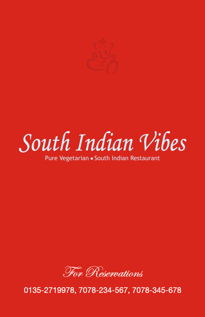

South Indian Vibes

Pure Vegetarian • South Indian Restaurant



0135-2719978, 7078-234-567, 7078-345-678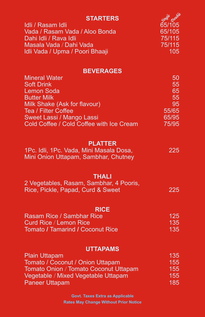| <b>STARTERS</b>                                                                 | Single Double    |
|---------------------------------------------------------------------------------|------------------|
| Idli / Rasam Idli<br>Vada / Rasam Vada / Aloo Bonda                             | 65/105<br>65/105 |
| Dahi Idli / Rava Idli<br>Masala Vada / Dahi Vada                                | 75/115<br>75/115 |
| Idli Vada / Upma / Poori Bhaaji                                                 | 105              |
| <b>BEVERAGES</b>                                                                |                  |
| <b>Mineral Water</b><br><b>Soft Drink</b>                                       | 50<br>55         |
| <b>Lemon Soda</b>                                                               | 65               |
| <b>Butter Milk</b><br>Milk Shake (Ask for flavour)                              | 55<br>95         |
| Tea / Filter Coffee                                                             | 55/65            |
| Sweet Lassi / Mango Lassi<br>Cold Coffee / Cold Coffee with Ice Cream           | 65/95<br>75/95   |
|                                                                                 |                  |
| <b>PLATTER</b>                                                                  | 225              |
| 1Pc. Idli, 1Pc. Vada, Mini Masala Dosa,<br>Mini Onion Uttapam, Sambhar, Chutney |                  |
|                                                                                 |                  |
| <b>THALI</b><br>2 Vegetables, Rasam, Sambhar, 4 Pooris,                         |                  |
| Rice, Pickle, Papad, Curd & Sweet                                               | 225              |
|                                                                                 |                  |
| <b>RICE</b><br><b>Rasam Rice / Sambhar Rice</b>                                 | 125              |
| <b>Curd Rice / Lemon Rice</b><br><b>Tomato / Tamarind / Coconut Rice</b>        | 135<br>135       |
|                                                                                 |                  |
| <b>UTTAPAMS</b>                                                                 |                  |
| <b>Plain Uttapam</b><br>Tomato / Coconut / Onion Uttapam                        | 135<br>155       |
| Tomato Onion / Tomato Coconut Uttapam                                           | 155              |
| Vegetable / Mixed Vegetable Uttapam<br><b>Paneer Uttapam</b>                    | 155<br>185       |
| <b>Govt. Taxes Extra as Applicable</b>                                          |                  |

**Rates May Change Without Prior Notice**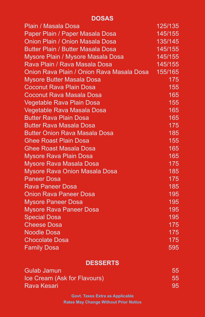## **DOSAS**

| Plain / Masala Dosa                       | 125/135 |
|-------------------------------------------|---------|
| Paper Plain / Paper Masala Dosa           | 145/155 |
| Onion Plain / Onion Masala Dosa           | 135/145 |
| <b>Butter Plain / Butter Masala Dosa</b>  | 145/155 |
| Mysore Plain / Mysore Masala Dosa         | 145/155 |
| Rava Plain / Rava Masala Dosa             | 145/155 |
| Onion Rava Plain / Onion Rava Masala Dosa | 155/165 |
| <b>Mysore Butter Masala Dosa</b>          | 175     |
| <b>Coconut Rava Plain Dosa</b>            | 155     |
| <b>Coconut Rava Masala Dosa</b>           | 165     |
| <b>Vegetable Rava Plain Dosa</b>          | 155     |
| Vegetable Rava Masala Dosa                | 165     |
| <b>Butter Rava Plain Dosa</b>             | 165     |
| <b>Butter Rava Masala Dosa</b>            | 175     |
| <b>Butter Onion Rava Masala Dosa</b>      | 185     |
| <b>Ghee Roast Plain Dosa</b>              | 155     |
| <b>Ghee Roast Masala Dosa</b>             | 165     |
| <b>Mysore Rava Plain Dosa</b>             | 165     |
| <b>Mysore Rava Masala Dosa</b>            | 175     |
| <b>Mysore Rava Onion Masala Dosa</b>      | 185     |
| <b>Paneer Dosa</b>                        | 175     |
| <b>Rava Paneer Dosa</b>                   | 185     |
| <b>Onion Rava Paneer Dosa</b>             | 195     |
| <b>Mysore Paneer Dosa</b>                 | 195     |
| <b>Mysore Rava Paneer Dosa</b>            | 195     |
| <b>Special Dosa</b>                       | 195     |
| <b>Cheese Dosa</b>                        | 175     |
| <b>Noodle Dosa</b>                        | 175     |
| <b>Chocolate Dosa</b>                     | 175     |
| <b>Family Dosa</b>                        | 595     |

## **DESSERTS**

| <b>Gulab Jamun</b>           | 55.          |
|------------------------------|--------------|
| Ice Cream (Ask for Flavours) | 55           |
| Rava Kesari                  | $95^{\circ}$ |

**Govt. Taxes Extra as Applicable Rates May Change Without Prior Notice**